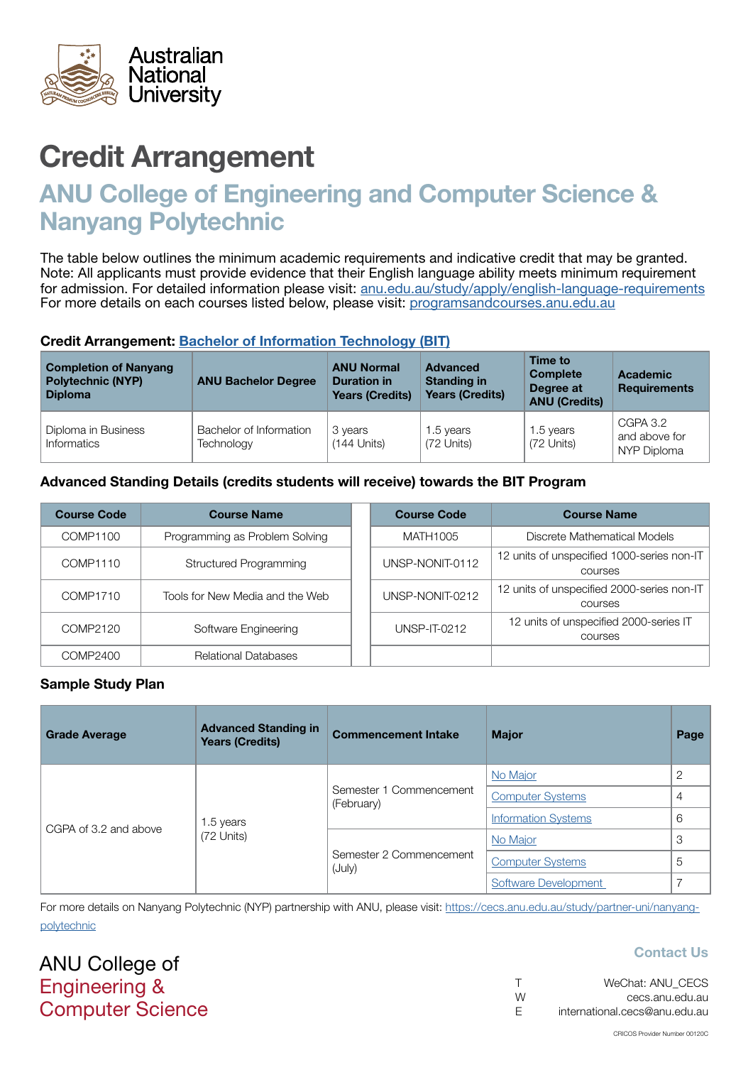

# ANU College of Engineering and Computer Science & Nanyang Polytechnic

The table below outlines the minimum academic requirements and indicative credit that may be granted. Note: All applicants must provide evidence that their English language ability meets minimum requirement for admission. For detailed information please visit: [anu.edu.au/study/apply/english-language-requirements](http://anu.edu.au/study/apply/english-language-requirements) For more details on each courses listed below, please visit: [programsandcourses.anu.edu.au](http://programsandcourses.anu.edu.au/program/BIT)

#### Credit Arrangement: [Bachelor of](http://programsandcourses.anu.edu.au/program/BIT) Information Technology (BIT)

| <b>Completion of Nanyang</b><br><b>Polytechnic (NYP)</b><br><b>Diploma</b> | <b>ANU Bachelor Degree</b>            | <b>ANU Normal</b><br><b>Duration in</b><br><b>Years (Credits)</b> | <b>Advanced</b><br><b>Standing in</b><br><b>Years (Credits)</b> | Time to<br><b>Complete</b><br>Degree at<br><b>ANU (Credits)</b> | <b>Academic</b><br><b>Requirements</b>   |
|----------------------------------------------------------------------------|---------------------------------------|-------------------------------------------------------------------|-----------------------------------------------------------------|-----------------------------------------------------------------|------------------------------------------|
| Diploma in Business<br>Informatics                                         | Bachelor of Information<br>Technology | 3 years<br>$(144$ Units)                                          | 1.5 years<br>(72 Units)                                         | 1.5 years<br>(72 Units)                                         | CGPA 3.2<br>and above for<br>NYP Diploma |

### Advanced Standing Details (credits students will receive) towards the BIT Program

| <b>Course Code</b> | <b>Course Name</b>              | <b>Course Code</b> | <b>Course Name</b>                                           |
|--------------------|---------------------------------|--------------------|--------------------------------------------------------------|
| COMP1100           | Programming as Problem Solving  | MATH1005           | Discrete Mathematical Models                                 |
| COMP1110           | <b>Structured Programming</b>   | UNSP-NONIT-0112    | 12 units of unspecified 1000-series non-IT<br><b>COULSES</b> |
| COMP1710           | Tools for New Media and the Web | UNSP-NONIT-0212    | 12 units of unspecified 2000-series non-IT<br><b>COULSES</b> |
| COMP2120           | Software Engineering            | UNSP-IT-0212       | 12 units of unspecified 2000-series IT<br><b>COULSES</b>     |
| COMP2400           | <b>Relational Databases</b>     |                    |                                                              |

#### Sample Study Plan

| <b>Grade Average</b>  | <b>Advanced Standing in</b><br><b>Years (Credits)</b> | <b>Commencement Intake</b>            | <b>Major</b>               | Page |
|-----------------------|-------------------------------------------------------|---------------------------------------|----------------------------|------|
| CGPA of 3.2 and above | 1.5 years<br>(72 Units)                               |                                       | No Major                   | っ    |
|                       |                                                       | Semester 1 Commencement<br>(February) | <b>Computer Systems</b>    | 4    |
|                       |                                                       |                                       | <b>Information Systems</b> | 6    |
|                       |                                                       |                                       | No Major                   | 3    |
|                       |                                                       | Semester 2 Commencement<br>(July)     | <b>Computer Systems</b>    | 5    |
|                       |                                                       |                                       | Software Development       |      |

For more details on Nanyang Polytechnic (NYP) partnership with ANU, please visit: https://cecs.anu.edu.au/study/partner-uni/nanyangpolytechnic

ANU College of Engineering & Computer Science

|   | WeChat: ANU CECS              |
|---|-------------------------------|
| W | cecs.anu.edu.au               |
| E | international.cecs@anu.edu.au |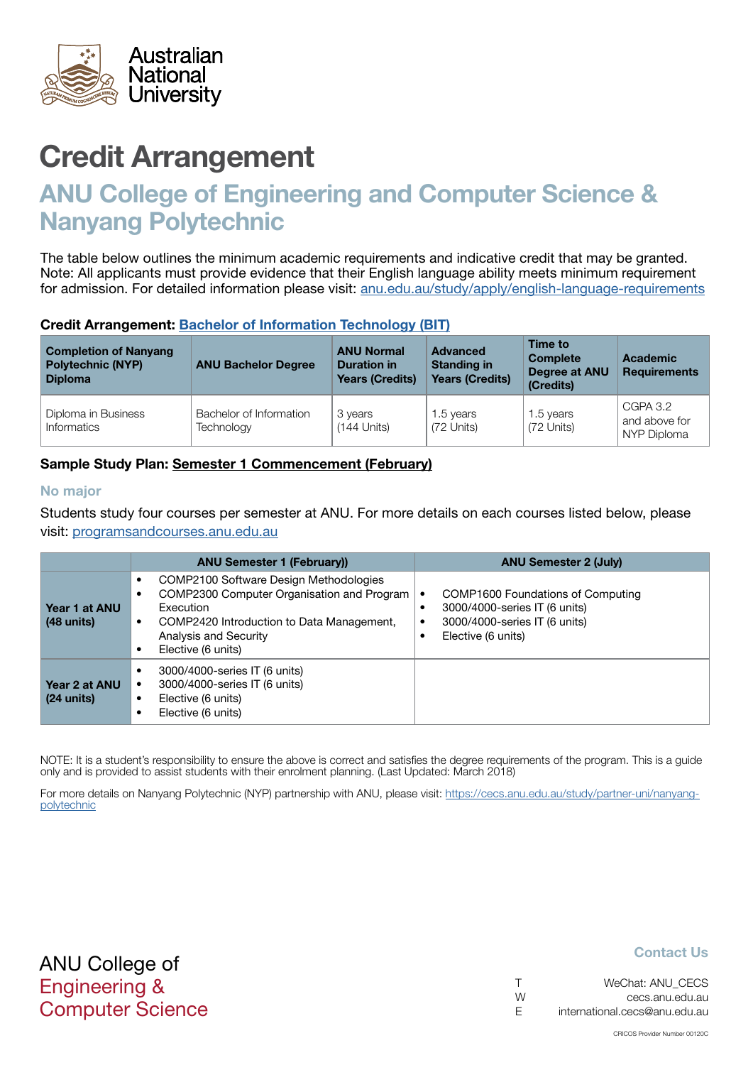<span id="page-1-0"></span>

# ANU College of Engineering and Computer Science & Nanyang Polytechnic

The table below outlines the minimum academic requirements and indicative credit that may be granted. Note: All applicants must provide evidence that their English language ability meets minimum requirement for admission. For detailed information please visit: [anu.edu.au/study/apply/english-language-requirements](http://anu.edu.au/study/apply/english-language-requirements)

#### Credit Arrangement: [Bachelor of](http://programsandcourses.anu.edu.au/program/BIT) Information Technology (BIT)

| <b>Completion of Nanyang</b><br><b>Polytechnic (NYP)</b><br><b>Diploma</b> | <b>ANU Bachelor Degree</b>            | <b>ANU Normal</b><br><b>Duration in</b><br><b>Years (Credits)</b> | <b>Advanced</b><br><b>Standing in</b><br><b>Years (Credits)</b> | Time to<br><b>Complete</b><br>Degree at ANU<br>(Credits) | <b>Academic</b><br><b>Requirements</b>   |
|----------------------------------------------------------------------------|---------------------------------------|-------------------------------------------------------------------|-----------------------------------------------------------------|----------------------------------------------------------|------------------------------------------|
| Diploma in Business<br>Informatics                                         | Bachelor of Information<br>Technology | 3 years<br>$(144$ Units)                                          | 1.5 years<br>(72 Units)                                         | 1.5 years<br>(72 Units)                                  | CGPA 3.2<br>and above for<br>NYP Diploma |

### Sample Study Plan: Semester 1 Commencement (February)

#### No major

Students study four courses per semester at ANU. For more details on each courses listed below, please visit: [programsandcourses.anu.edu.au](http://programsandcourses.anu.edu.au/program/BIT)

|                                       | <b>ANU Semester 1 (February))</b>                                                                                                                                                                               | <b>ANU Semester 2 (July)</b>                                                                                              |
|---------------------------------------|-----------------------------------------------------------------------------------------------------------------------------------------------------------------------------------------------------------------|---------------------------------------------------------------------------------------------------------------------------|
| Year 1 at ANU<br>$(48$ units)         | COMP2100 Software Design Methodologies<br>٠<br>COMP2300 Computer Organisation and Program<br>Execution<br>COMP2420 Introduction to Data Management,<br>$\bullet$<br>Analysis and Security<br>Elective (6 units) | COMP1600 Foundations of Computing<br>3000/4000-series IT (6 units)<br>3000/4000-series IT (6 units)<br>Elective (6 units) |
| Year 2 at ANU<br>$(24 \text{ units})$ | 3000/4000-series IT (6 units)<br>3000/4000-series IT (6 units)<br>Elective (6 units)<br>٠<br>Elective (6 units)                                                                                                 |                                                                                                                           |

NOTE: It is a student's responsibility to ensure the above is correct and satisfies the degree requirements of the program. This is a guide only and is provided to assist students with their enrolment planning. (Last Updated: March 2018)

For more details on Nanyang Polytechnic (NYP) partnership with ANU, please visit: https://cecs.anu.edu.au/study/partner-uni/nanyangpolytechnic

| $\top$ | WeChat: ANU CECS              |
|--------|-------------------------------|
| W      | cecs.anu.edu.au               |
| - F    | international.cecs@anu.edu.au |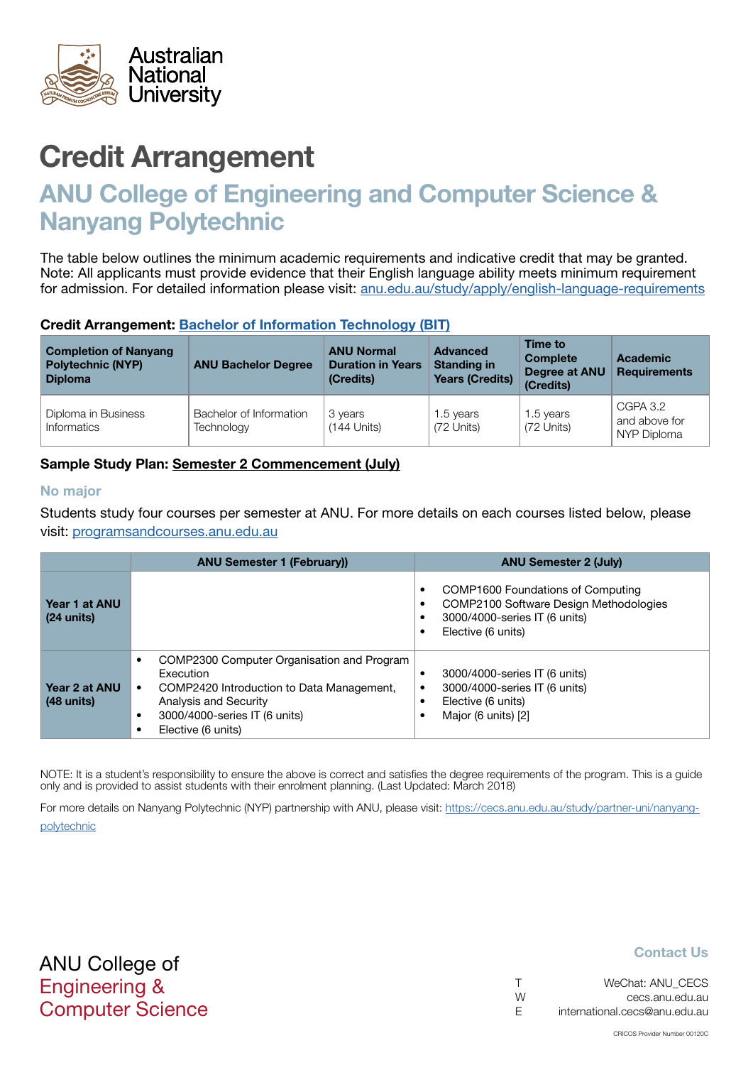<span id="page-2-0"></span>

# ANU College of Engineering and Computer Science & Nanyang Polytechnic

The table below outlines the minimum academic requirements and indicative credit that may be granted. Note: All applicants must provide evidence that their English language ability meets minimum requirement for admission. For detailed information please visit: [anu.edu.au/study/apply/english-language-requirements](http://anu.edu.au/study/apply/english-language-requirements)

#### Credit Arrangement: [Bachelor of](http://programsandcourses.anu.edu.au/program/BIT) Information Technology (BIT)

| <b>Completion of Nanyang</b><br><b>Polytechnic (NYP)</b><br><b>Diploma</b> | <b>ANU Bachelor Degree</b>            | <b>ANU Normal</b><br><b>Duration in Years</b><br>(Credits) | <b>Advanced</b><br><b>Standing in</b><br><b>Years (Credits)</b> | Time to<br><b>Complete</b><br>Degree at ANU<br>(Credits) | <b>Academic</b><br><b>Requirements</b>   |
|----------------------------------------------------------------------------|---------------------------------------|------------------------------------------------------------|-----------------------------------------------------------------|----------------------------------------------------------|------------------------------------------|
| Diploma in Business<br><b>Informatics</b>                                  | Bachelor of Information<br>Technology | 3 years<br>$(144$ Units)                                   | 1.5 years<br>(72 Units)                                         | 1.5 years<br>(72 Units)                                  | CGPA 3.2<br>and above for<br>NYP Diploma |

### Sample Study Plan: Semester 2 Commencement (July)

#### No major

Students study four courses per semester at ANU. For more details on each courses listed below, please visit: [programsandcourses.anu.edu.au](http://programsandcourses.anu.edu.au/program/BIT)

|                                       | <b>ANU Semester 1 (February))</b>                                                                                                                                                                                           | <b>ANU Semester 2 (July)</b>                                                                                                                         |
|---------------------------------------|-----------------------------------------------------------------------------------------------------------------------------------------------------------------------------------------------------------------------------|------------------------------------------------------------------------------------------------------------------------------------------------------|
| Year 1 at ANU<br>$(24 \text{ units})$ |                                                                                                                                                                                                                             | COMP1600 Foundations of Computing<br>$\bullet$<br>COMP2100 Software Design Methodologies<br>٠<br>3000/4000-series IT (6 units)<br>Elective (6 units) |
| Year 2 at ANU<br>$(48$ units)         | COMP2300 Computer Organisation and Program<br>$\bullet$<br>Execution<br>COMP2420 Introduction to Data Management,<br>$\bullet$<br>Analysis and Security<br>3000/4000-series IT (6 units)<br>$\bullet$<br>Elective (6 units) | 3000/4000-series IT (6 units)<br>$\epsilon$<br>3000/4000-series IT (6 units)<br>Elective (6 units)<br>Major (6 units) [2]                            |

NOTE: It is a student's responsibility to ensure the above is correct and satisfies the degree requirements of the program. This is a guide only and is provided to assist students with their enrolment planning. (Last Updated: March 2018)

For more details on Nanyang Polytechnic (NYP) partnership with ANU, please visit: https://cecs.anu.edu.au/study/partner-uni/nanyangpolytechnic

| $\top$ | WeChat: ANU CECS              |
|--------|-------------------------------|
| W      | cecs.anu.edu.au               |
| E.     | international.cecs@anu.edu.au |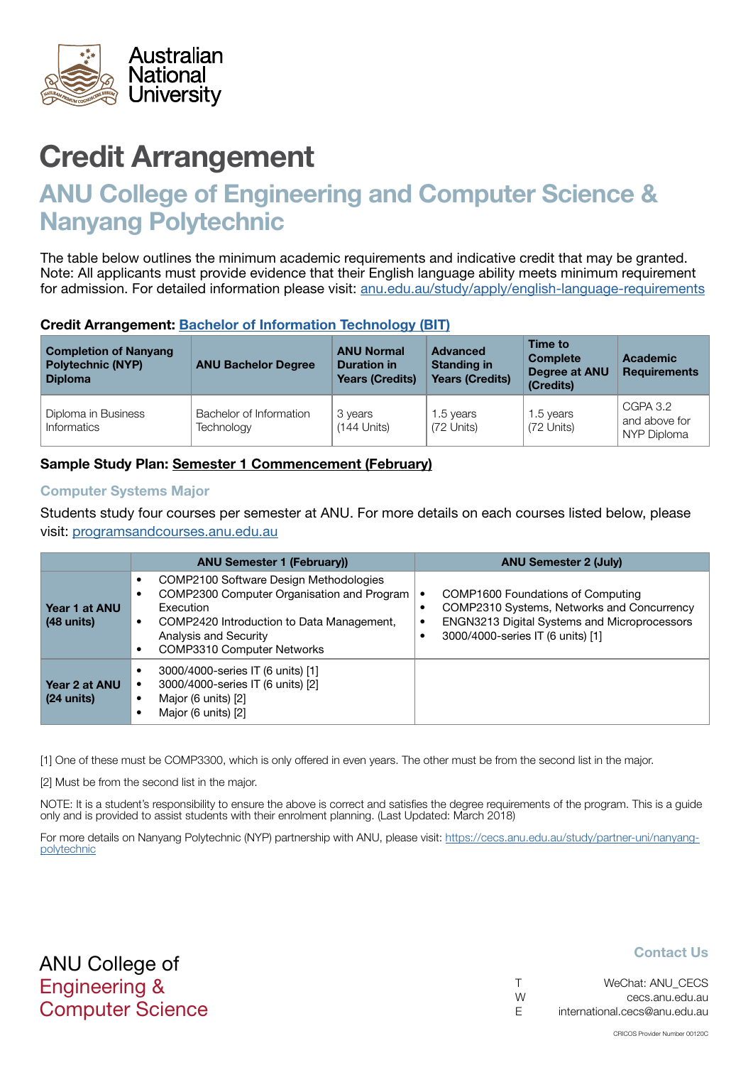<span id="page-3-0"></span>

# ANU College of Engineering and Computer Science & Nanyang Polytechnic

The table below outlines the minimum academic requirements and indicative credit that may be granted. Note: All applicants must provide evidence that their English language ability meets minimum requirement for admission. For detailed information please visit: [anu.edu.au/study/apply/english-language-requirements](http://anu.edu.au/study/apply/english-language-requirements)

#### Credit Arrangement: [Bachelor of](http://programsandcourses.anu.edu.au/program/BIT) Information Technology (BIT)

| <b>Completion of Nanyang</b><br><b>Polytechnic (NYP)</b><br><b>Diploma</b> | <b>ANU Bachelor Degree</b>            | <b>ANU Normal</b><br><b>Duration in</b><br><b>Years (Credits)</b> | <b>Advanced</b><br><b>Standing in</b><br><b>Years (Credits)</b> | Time to<br><b>Complete</b><br>Degree at ANU<br>(Credits) | <b>Academic</b><br><b>Requirements</b>   |
|----------------------------------------------------------------------------|---------------------------------------|-------------------------------------------------------------------|-----------------------------------------------------------------|----------------------------------------------------------|------------------------------------------|
| Diploma in Business<br>Informatics                                         | Bachelor of Information<br>Technology | 3 years<br>$(144$ Units)                                          | 1.5 years<br>(72 Units)                                         | 1.5 years<br>(72 Units)                                  | CGPA 3.2<br>and above for<br>NYP Diploma |

### Sample Study Plan: Semester 1 Commencement (February)

#### Computer Systems Major

Students study four courses per semester at ANU. For more details on each courses listed below, please visit: [programsandcourses.anu.edu.au](http://programsandcourses.anu.edu.au/program/BIT)

|                                       | <b>ANU Semester 1 (February))</b>                                                                                                                                                                            | <b>ANU Semester 2 (July)</b>                                                                                                                                         |
|---------------------------------------|--------------------------------------------------------------------------------------------------------------------------------------------------------------------------------------------------------------|----------------------------------------------------------------------------------------------------------------------------------------------------------------------|
| Year 1 at ANU<br>$(48$ units)         | COMP2100 Software Design Methodologies<br>COMP2300 Computer Organisation and Program<br>Execution<br>COMP2420 Introduction to Data Management,<br>Analysis and Security<br><b>COMP3310 Computer Networks</b> | COMP1600 Foundations of Computing<br>COMP2310 Systems, Networks and Concurrency<br>ENGN3213 Digital Systems and Microprocessors<br>3000/4000-series IT (6 units) [1] |
| Year 2 at ANU<br>$(24 \text{ units})$ | 3000/4000-series IT (6 units) [1]<br>3000/4000-series IT (6 units) [2]<br>Major (6 units) [2]<br>Major (6 units) [2]                                                                                         |                                                                                                                                                                      |

[1] One of these must be COMP3300, which is only offered in even years. The other must be from the second list in the major.

[2] Must be from the second list in the major.

NOTE: It is a student's responsibility to ensure the above is correct and satisfies the degree requirements of the program. This is a guide only and is provided to assist students with their enrolment planning. (Last Updated: March 2018)

For more details on Nanyang Polytechnic (NYP) partnership with ANU, please visit: https://cecs.anu.edu.au/study/partner-uni/nanyangpolytechnic

ANU College of Engineering & Computer Science

|   | WeChat: ANU CECS              |
|---|-------------------------------|
| W | cecs.anu.edu.au               |
| E | international.cecs@anu.edu.au |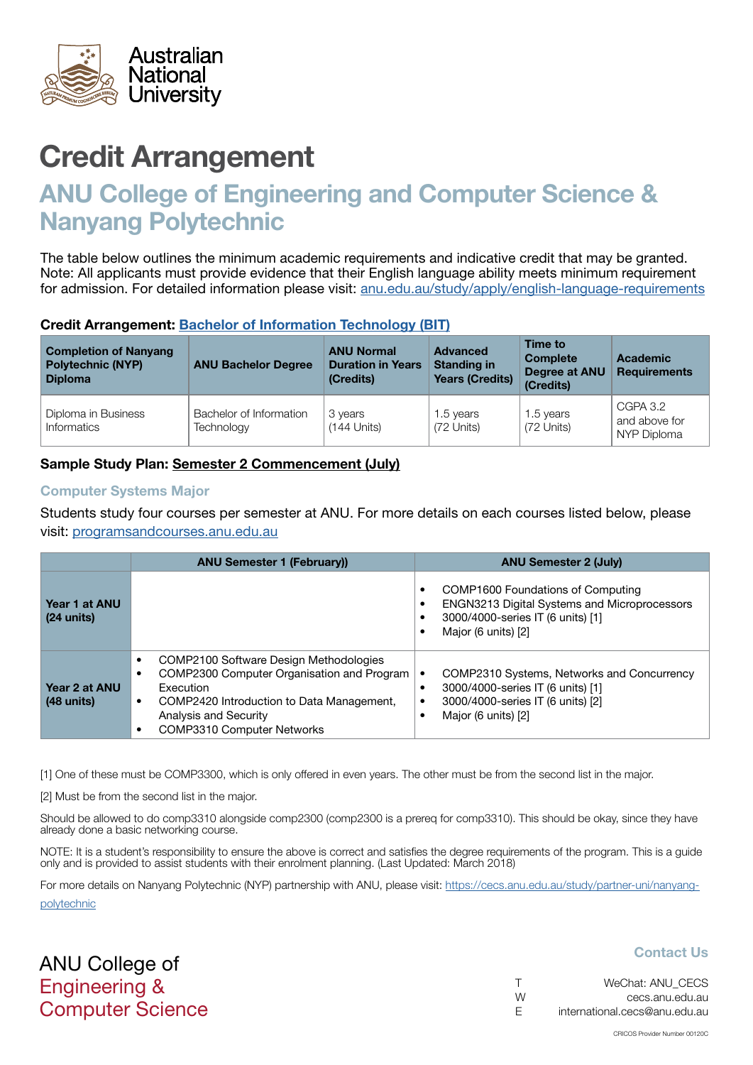<span id="page-4-0"></span>

# ANU College of Engineering and Computer Science & Nanyang Polytechnic

The table below outlines the minimum academic requirements and indicative credit that may be granted. Note: All applicants must provide evidence that their English language ability meets minimum requirement for admission. For detailed information please visit: [anu.edu.au/study/apply/english-language-requirements](http://anu.edu.au/study/apply/english-language-requirements)

#### Credit Arrangement: [Bachelor of](http://programsandcourses.anu.edu.au/program/BIT) Information Technology (BIT)

| <b>Completion of Nanyang</b><br><b>Polytechnic (NYP)</b><br><b>Diploma</b> | <b>ANU Bachelor Degree</b>            | <b>ANU Normal</b><br><b>Duration in Years</b><br>(Credits) | Advanced<br><b>Standing in</b><br><b>Years (Credits)</b> | Time to<br><b>Complete</b><br>Degree at ANU<br>(Credits) | <b>Academic</b><br><b>Requirements</b>   |
|----------------------------------------------------------------------------|---------------------------------------|------------------------------------------------------------|----------------------------------------------------------|----------------------------------------------------------|------------------------------------------|
| Diploma in Business<br>Informatics                                         | Bachelor of Information<br>Technology | 3 years<br>$(144$ Units)                                   | 1.5 years<br>(72 Units)                                  | 1.5 years<br>(72 Units)                                  | CGPA 3.2<br>and above for<br>NYP Diploma |

### Sample Study Plan: Semester 2 Commencement (July)

#### Computer Systems Major

Students study four courses per semester at ANU. For more details on each courses listed below, please visit: [programsandcourses.anu.edu.au](http://programsandcourses.anu.edu.au/program/BIT)

|                                       | <b>ANU Semester 1 (February)</b>                                                                                                                                                                                               | <b>ANU Semester 2 (July)</b>                                                                                                                  |
|---------------------------------------|--------------------------------------------------------------------------------------------------------------------------------------------------------------------------------------------------------------------------------|-----------------------------------------------------------------------------------------------------------------------------------------------|
| Year 1 at ANU<br>$(24 \text{ units})$ |                                                                                                                                                                                                                                | COMP1600 Foundations of Computing<br>ENGN3213 Digital Systems and Microprocessors<br>3000/4000-series IT (6 units) [1]<br>Major (6 units) [2] |
| Year 2 at ANU<br>$(48$ units)         | COMP2100 Software Design Methodologies<br>$\bullet$<br>COMP2300 Computer Organisation and Program<br>Execution<br>COMP2420 Introduction to Data Management,<br>٠<br>Analysis and Security<br><b>COMP3310 Computer Networks</b> | COMP2310 Systems, Networks and Concurrency<br>3000/4000-series IT (6 units) [1]<br>3000/4000-series IT (6 units) [2]<br>Major (6 units) [2]   |

[1] One of these must be COMP3300, which is only offered in even years. The other must be from the second list in the major.

[2] Must be from the second list in the major.

Should be allowed to do comp3310 alongside comp2300 (comp2300 is a prereq for comp3310). This should be okay, since they have already done a basic networking course.

NOTE: It is a student's responsibility to ensure the above is correct and satisfies the degree requirements of the program. This is a guide only and is provided to assist students with their enrolment planning. (Last Updated: March 2018)

For more details on Nanyang Polytechnic (NYP) partnership with ANU, please visit: https://cecs.anu.edu.au/study/partner-uni/nanyangpolytechnic

ANU College of Engineering & Computer Science

| $\top$ | WeChat: ANU CECS              |
|--------|-------------------------------|
| W      | cecs.anu.edu.au               |
| -F     | international.cecs@anu.edu.au |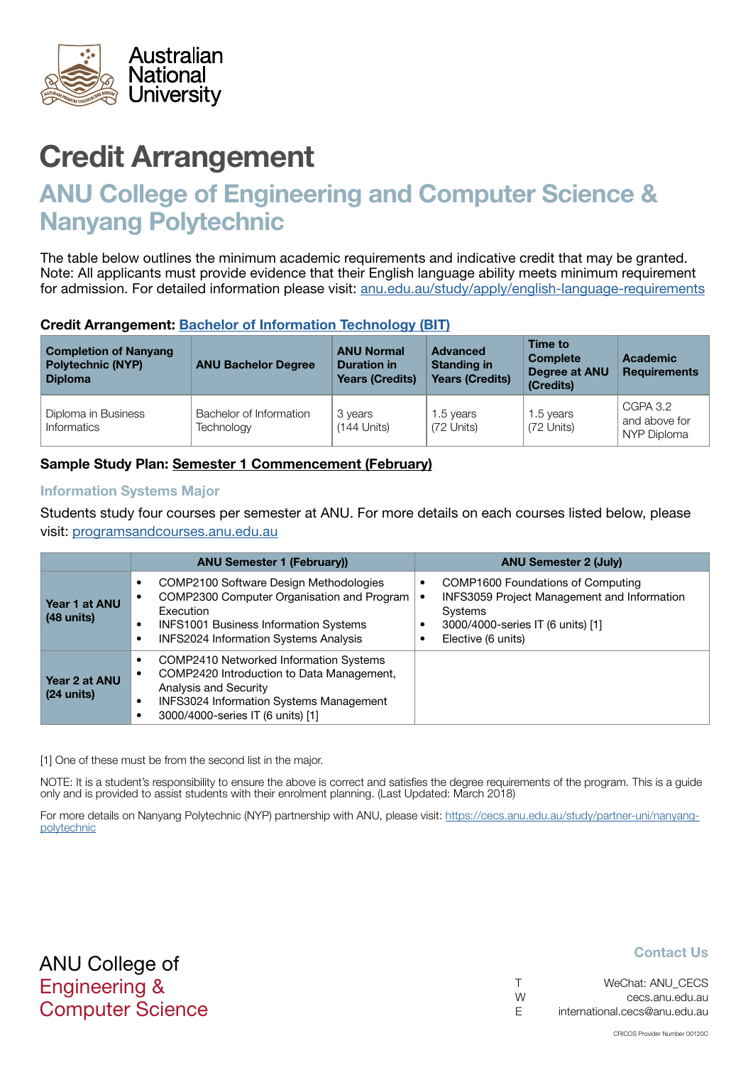<span id="page-5-0"></span>

# ANU College of Engineering and Computer Science & Nanyang Polytechnic

The table below outlines the minimum academic requirements and indicative credit that may be granted. Note: All applicants must provide evidence that their English language ability meets minimum requirement for admission. For detailed information please visit: [anu.edu.au/study/apply/english-language-requirements](http://anu.edu.au/study/apply/english-language-requirements)

#### Credit Arrangement: [Bachelor of](http://programsandcourses.anu.edu.au/program/BIT) Information Technology (BIT)

| <b>Completion of Nanyang</b><br><b>Polytechnic (NYP)</b><br><b>Diploma</b> | <b>ANU Bachelor Degree</b>            | <b>ANU Normal</b><br><b>Duration in</b><br><b>Years (Credits)</b> | <b>Advanced</b><br><b>Standing in</b><br><b>Years (Credits)</b> | Time to<br><b>Complete</b><br>Degree at ANU<br>(Credits) | <b>Academic</b><br><b>Requirements</b>   |
|----------------------------------------------------------------------------|---------------------------------------|-------------------------------------------------------------------|-----------------------------------------------------------------|----------------------------------------------------------|------------------------------------------|
| Diploma in Business<br>Informatics                                         | Bachelor of Information<br>Technology | 3 years<br>$(144$ Units)                                          | 1.5 years<br>(72 Units)                                         | 1.5 years<br>(72 Units)                                  | CGPA 3.2<br>and above for<br>NYP Diploma |

### Sample Study Plan: Semester 1 Commencement (February)

#### Information Systems Major

Students study four courses per semester at ANU. For more details on each courses listed below, please visit: [programsandcourses.anu.edu.au](http://programsandcourses.anu.edu.au/program/BIT)

|                                       | <b>ANU Semester 1 (February))</b>                                                                                                                                                                                | <b>ANU Semester 2 (July)</b>                                                                                                                                  |
|---------------------------------------|------------------------------------------------------------------------------------------------------------------------------------------------------------------------------------------------------------------|---------------------------------------------------------------------------------------------------------------------------------------------------------------|
| Year 1 at ANU<br>$(48 \text{ units})$ | COMP2100 Software Design Methodologies<br>$\bullet$<br>COMP2300 Computer Organisation and Program<br>Execution<br><b>INFS1001 Business Information Systems</b><br><b>INFS2024 Information Systems Analysis</b>   | COMP1600 Foundations of Computing<br><b>INFS3059 Project Management and Information</b><br>Systems<br>3000/4000-series IT (6 units) [1]<br>Elective (6 units) |
| Year 2 at ANU<br>$(24 \text{ units})$ | COMP2410 Networked Information Systems<br>$\bullet$<br>COMP2420 Introduction to Data Management,<br>Analysis and Security<br><b>INFS3024 Information Systems Management</b><br>3000/4000-series IT (6 units) [1] |                                                                                                                                                               |

[1] One of these must be from the second list in the major.

NOTE: It is a student's responsibility to ensure the above is correct and satisfies the degree requirements of the program. This is a guide only and is provided to assist students with their enrolment planning. (Last Updated: March 2018)

For more details on Nanyang Polytechnic (NYP) partnership with ANU, please visit: https://cecs.anu.edu.au/study/partner-uni/nanyangpolytechnic

| $\top$ | WeChat: ANU CECS              |
|--------|-------------------------------|
| W      | cecs.anu.edu.au               |
| E.     | international.cecs@anu.edu.au |